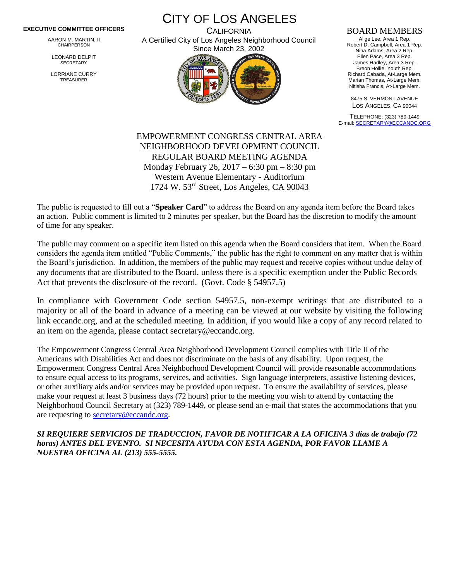## **EXECUTIVE COMMITTEE OFFICERS**

AARON M. MARTIN, II CHAIRPERSON

LEONARD DELPIT **SECRETARY** 

LORRIANE CURRY TREASURER

CITY OF LOS ANGELES **CALIFORNIA** 

A Certified City of Los Angeles Neighborhood Council Since March 23, 2002



## BOARD MEMBERS

Alige Lee, Area 1 Rep. Robert D. Campbell, Area 1 Rep. Nina Adams, Area 2 Rep. Ellen Pace, Area 3 Rep. James Hadley, Area 3 Rep. Breon Hollie, Youth Rep. Richard Cabada, At-Large Mem. Marian Thomas, At-Large Mem. Nitisha Francis, At-Large Mem.

8475 S. VERMONT AVENUE LOS ANGELES, CA 90044

TELEPHONE: (323) 789-1449 E-mail[: SECRETARY@ECCANDC.ORG](mailto:SECRETARY@ECCANDC.ORG)

## EMPOWERMENT CONGRESS CENTRAL AREA NEIGHBORHOOD DEVELOPMENT COUNCIL REGULAR BOARD MEETING AGENDA Monday February 26, 2017 – 6:30 pm – 8:30 pm Western Avenue Elementary - Auditorium 1724 W. 53rd Street, Los Angeles, CA 90043

The public is requested to fill out a "**Speaker Card**" to address the Board on any agenda item before the Board takes an action. Public comment is limited to 2 minutes per speaker, but the Board has the discretion to modify the amount of time for any speaker.

The public may comment on a specific item listed on this agenda when the Board considers that item. When the Board considers the agenda item entitled "Public Comments," the public has the right to comment on any matter that is within the Board's jurisdiction. In addition, the members of the public may request and receive copies without undue delay of any documents that are distributed to the Board, unless there is a specific exemption under the Public Records Act that prevents the disclosure of the record. (Govt. Code § 54957.5)

In compliance with Government Code section 54957.5, non-exempt writings that are distributed to a majority or all of the board in advance of a meeting can be viewed at our website by visiting the following link eccandc.org, and at the scheduled meeting. In addition, if you would like a copy of any record related to an item on the agenda, please contact secretary@eccandc.org.

The Empowerment Congress Central Area Neighborhood Development Council complies with Title II of the Americans with Disabilities Act and does not discriminate on the basis of any disability. Upon request, the Empowerment Congress Central Area Neighborhood Development Council will provide reasonable accommodations to ensure equal access to its programs, services, and activities. Sign language interpreters, assistive listening devices, or other auxiliary aids and/or services may be provided upon request. To ensure the availability of services, please make your request at least 3 business days (72 hours) prior to the meeting you wish to attend by contacting the Neighborhood Council Secretary at (323) 789-1449, or please send an e-mail that states the accommodations that you are requesting to [secretary@eccandc.org.](mailto:secretary@eccandc.org)

*SI REQUIERE SERVICIOS DE TRADUCCION, FAVOR DE NOTIFICAR A LA OFICINA 3 días de trabajo (72 horas) ANTES DEL EVENTO. SI NECESITA AYUDA CON ESTA AGENDA, POR FAVOR LLAME A NUESTRA OFICINA AL (213) 555-5555.*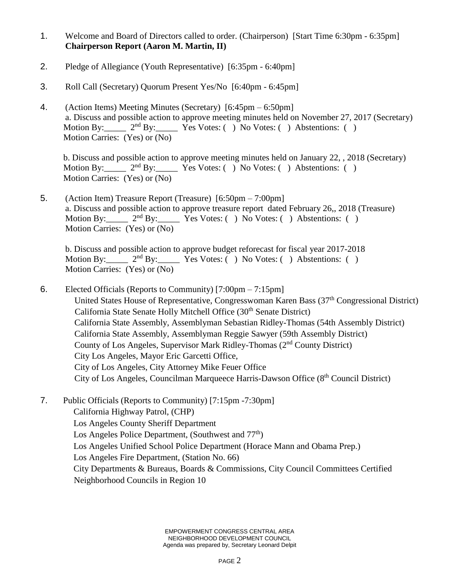- 1. Welcome and Board of Directors called to order. (Chairperson) [Start Time 6:30pm 6:35pm] **Chairperson Report (Aaron M. Martin, II)**
- 2. Pledge of Allegiance (Youth Representative) [6:35pm 6:40pm]
- 3. Roll Call (Secretary) Quorum Present Yes/No [6:40pm 6:45pm]
- 4. (Action Items) Meeting Minutes (Secretary) [6:45pm 6:50pm] a. Discuss and possible action to approve meeting minutes held on November 27, 2017 (Secretary) Motion By:  $2<sup>nd</sup> By: Yes Votes: ( ) No Votes: ( ) Abstentions: ( )$ Motion Carries: (Yes) or (No)

b. Discuss and possible action to approve meeting minutes held on January 22, , 2018 (Secretary) Motion By:  $2<sup>nd</sup>$  By: Yes Votes: ( ) No Votes: ( ) Abstentions: ( ) Motion Carries: (Yes) or (No)

5. (Action Item) Treasure Report (Treasure) [6:50pm – 7:00pm] a. Discuss and possible action to approve treasure report dated February 26,, 2018 (Treasure) Motion By:  $2<sup>nd</sup>$  By: Yes Votes: ( ) No Votes: ( ) Abstentions: ( ) Motion Carries: (Yes) or (No)

b. Discuss and possible action to approve budget reforecast for fiscal year 2017-2018 Motion By:  $2<sup>nd</sup> By:$  Yes Votes: ( ) No Votes: ( ) Abstentions: ( ) Motion Carries: (Yes) or (No)

- 6. Elected Officials (Reports to Community) [7:00pm 7:15pm] United States House of Representative, Congresswoman Karen Bass (37<sup>th</sup> Congressional District) California State Senate Holly Mitchell Office (30<sup>th</sup> Senate District) California State Assembly, Assemblyman Sebastian Ridley-Thomas (54th Assembly District) California State Assembly, Assemblyman Reggie Sawyer (59th Assembly District) County of Los Angeles, Supervisor Mark Ridley-Thomas (2nd County District) City Los Angeles, Mayor Eric Garcetti Office, City of Los Angeles, City Attorney Mike Feuer Office City of Los Angeles, Councilman Marqueece Harris-Dawson Office (8th Council District)
- 7. Public Officials (Reports to Community) [7:15pm -7:30pm] California Highway Patrol, (CHP) Los Angeles County Sheriff Department Los Angeles Police Department, (Southwest and  $77<sup>th</sup>$ ) Los Angeles Unified School Police Department (Horace Mann and Obama Prep.) Los Angeles Fire Department, (Station No. 66) City Departments & Bureaus, Boards & Commissions, City Council Committees Certified Neighborhood Councils in Region 10